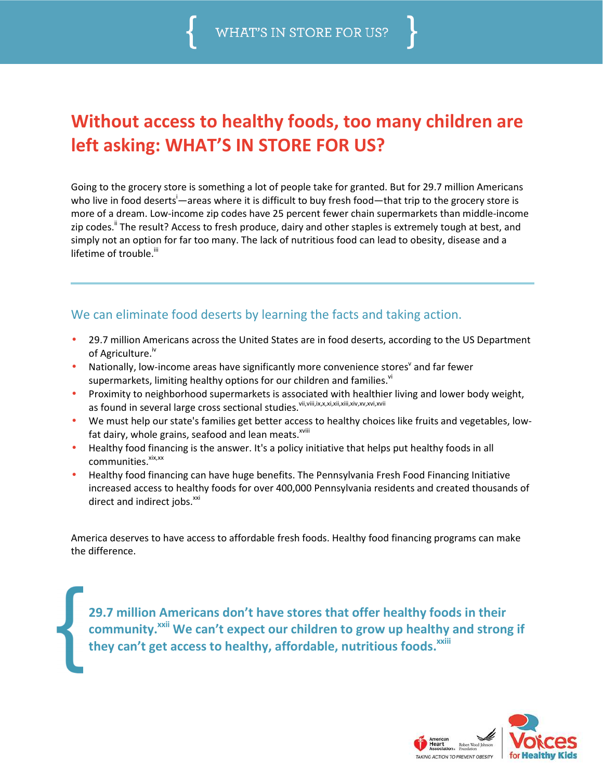

## **Without access to healthy foods, too many children are left asking: WHAT'S IN STORE FOR US?**

Going to the grocery store is something a lot of people take for granted. But for 29.7 million Americans who live in food deserts<sup>i</sup>—areas where it is difficult to buy fresh food—that trip to the grocery store is more of a dream. Low-income zip codes have 25 percent fewer chain supermarkets than middle-income zip codes.<sup>ii</sup> The result? Access to fresh produce, dairy and other staples is extremely tough at best, and simply not an option for far too many. The lack of nutritious food can lead to obesity, disease and a lifetime of trouble.<sup>iii</sup>

## We can eliminate food deserts by learning the facts and taking action.

- 29.7 million Americans across the United States are in food deserts, according to the US Department of Agriculture.<sup>iv</sup>
- Nationally, low-income areas have significantly more convenience stores<sup>Y</sup> and far fewer supermarkets, limiting healthy options for our children and families.<sup>vi</sup>
- Proximity to neighborhood supermarkets is associated with healthier living and lower body weight, as found in several large cross sectional studies.<sup>vii,viii,ix,x,xi,xii,xii,xiv,xv,xvi,xvii</sup>
- We must help our state's families get better access to healthy choices like fruits and vegetables, lowfat dairy, whole grains, seafood and lean meats.<sup>xviii</sup>
- Healthy food financing is the answer. It's a policy initiative that helps put healthy foods in all  $commu$ nities. $x^{x}$
- Healthy food financing can have huge benefits. The Pennsylvania Fresh Food Financing Initiative increased access to healthy foods for over 400,000 Pennsylvania residents and created thousands of direct and indirect jobs.<sup>xxi</sup>

America deserves to have access to affordable fresh foods. Healthy food financing programs can make the difference.

**29.7 million Americans don't have stores that offer healthy foods in their**  community.<sup>**xxii</sup> We can't expect our children to grow up healthy and strong if</sup> they can't get access to healthy, affordable, nutritious foods.xxiii**